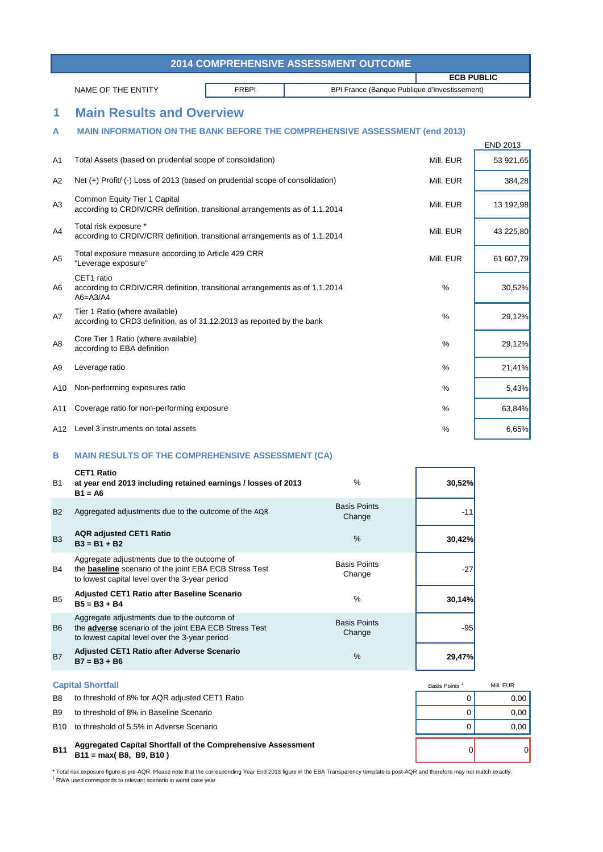\* Total risk exposure figure is pre-AQR. Please note that the corresponding Year End 2013 figure in the EBA Transparency template is post-AQR and therefore may not match exactly. <sup>1</sup> RWA used corresponds to relevant scenario in worst case year

# Basis Points<sup>1</sup> Mill. EUR

| <b>2014 COMPREHENSIVE ASSESSMENT OUTCOME</b> |                                                                                                                                                                |                                               |                   |                 |  |  |
|----------------------------------------------|----------------------------------------------------------------------------------------------------------------------------------------------------------------|-----------------------------------------------|-------------------|-----------------|--|--|
|                                              |                                                                                                                                                                |                                               | <b>ECB PUBLIC</b> |                 |  |  |
|                                              | <b>FRBPI</b><br>NAME OF THE ENTITY                                                                                                                             | BPI France (Banque Publique d'Investissement) |                   |                 |  |  |
| 1                                            | <b>Main Results and Overview</b>                                                                                                                               |                                               |                   |                 |  |  |
| A                                            | <b>MAIN INFORMATION ON THE BANK BEFORE THE COMPREHENSIVE ASSESSMENT (end 2013)</b>                                                                             |                                               |                   |                 |  |  |
|                                              |                                                                                                                                                                |                                               |                   | <b>END 2013</b> |  |  |
| A <sub>1</sub>                               | Total Assets (based on prudential scope of consolidation)                                                                                                      |                                               | Mill. EUR         | 53 921,65       |  |  |
| A2                                           | Net (+) Profit/ (-) Loss of 2013 (based on prudential scope of consolidation)                                                                                  |                                               | Mill. EUR         | 384,28          |  |  |
| A <sub>3</sub>                               | Common Equity Tier 1 Capital<br>according to CRDIV/CRR definition, transitional arrangements as of 1.1.2014                                                    |                                               | Mill. EUR         | 13 192,98       |  |  |
| A4                                           | Total risk exposure *<br>according to CRDIV/CRR definition, transitional arrangements as of 1.1.2014                                                           |                                               | Mill. EUR         | 43 225,80       |  |  |
| A <sub>5</sub>                               | Total exposure measure according to Article 429 CRR<br>"Leverage exposure"                                                                                     |                                               | Mill. EUR         | 61 607,79       |  |  |
| A6                                           | CET1 ratio<br>according to CRDIV/CRR definition, transitional arrangements as of 1.1.2014<br>$A6 = A3/A4$                                                      |                                               | $\%$              | 30,52%          |  |  |
| A7                                           | Tier 1 Ratio (where available)<br>according to CRD3 definition, as of 31.12.2013 as reported by the bank                                                       |                                               | $\%$              | 29,12%          |  |  |
| A <sub>8</sub>                               | Core Tier 1 Ratio (where available)<br>according to EBA definition                                                                                             |                                               | $\%$              | 29,12%          |  |  |
| A <sub>9</sub>                               | Leverage ratio                                                                                                                                                 |                                               | $\%$              | 21,41%          |  |  |
| A10                                          | Non-performing exposures ratio                                                                                                                                 |                                               | %                 | 5,43%           |  |  |
| A11                                          | Coverage ratio for non-performing exposure                                                                                                                     |                                               | %                 | 63,84%          |  |  |
| A12                                          | Level 3 instruments on total assets                                                                                                                            |                                               | $\frac{0}{0}$     | 6,65%           |  |  |
| B                                            | <b>MAIN RESULTS OF THE COMPREHENSIVE ASSESSMENT (CA)</b>                                                                                                       |                                               |                   |                 |  |  |
| <b>B1</b>                                    | <b>CET1 Ratio</b><br>at year end 2013 including retained earnings / losses of 2013<br>$B1 = A6$                                                                | %                                             | 30,52%            |                 |  |  |
| <b>B2</b>                                    | Aggregated adjustments due to the outcome of the AQR                                                                                                           | <b>Basis Points</b><br>Change                 | $-11$             |                 |  |  |
| B <sub>3</sub>                               | <b>AQR adjusted CET1 Ratio</b><br>$B3 = B1 + B2$                                                                                                               | $\%$                                          | 30,42%            |                 |  |  |
| B4                                           | Aggregate adjustments due to the outcome of<br>the <b>baseline</b> scenario of the joint EBA ECB Stress Test<br>to lowest capital level over the 3-year period | <b>Basis Points</b><br>Change                 | $-27$             |                 |  |  |
| B <sub>5</sub>                               | <b>Adjusted CET1 Ratio after Baseline Scenario</b><br>$B5 = B3 + B4$                                                                                           | %                                             | 30,14%            |                 |  |  |
| B <sub>6</sub>                               | Aggregate adjustments due to the outcome of<br>the <b>adverse</b> scenario of the joint EBA ECB Stress Test<br>to lowest capital level over the 3-year period  | <b>Basis Points</b><br>Change                 | $-95$             |                 |  |  |

# B7 **29,47% Adjusted CET1 Ratio after Adverse Scenario B7 = B3 + B6** %

### **B11** 0 0 **Aggregated Capital Shortfall of the Comprehensive Assessment B11 = max( B8, B9, B10 )**

## **Capital Shortfall**

- B8 to threshold of 8% for AQR adjusted CET1 Ratio **EXAMPLE 10 CONSTRESS CONSTRESS OF A CONSTRESS CONSTRESS CONSTR**
- B9 to threshold of 8% in Baseline Scenario and the state of the state of the state of the state of the state of the state of the state of the state of the state of the state of the state of the state of the state of the st
- B10 to threshold of 5.5% in Adverse Scenario and the state of the state of the state of the state of the state of the state of the state of the state of the state of the state of the state of the state of the state of the